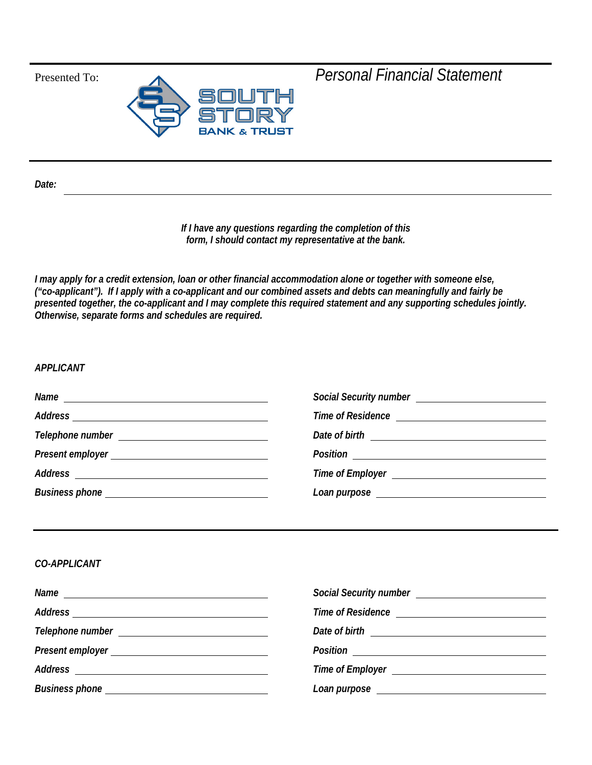

*Date:*

## *If I have any questions regarding the completion of this form, I should contact my representative at the bank.*

*I may apply for a credit extension, loan or other financial accommodation alone or together with someone else, ("co-applicant"). If I apply with a co-applicant and our combined assets and debts can meaningfully and fairly be presented together, the co-applicant and I may complete this required statement and any supporting schedules jointly. Otherwise, separate forms and schedules are required.* 

# *APPLICANT*

| Telephone number _____________________________ |  |
|------------------------------------------------|--|
|                                                |  |
|                                                |  |
| <b>Business phone</b>                          |  |

# *CO-APPLICANT*

| Telephone number _____________________________                                                                                                                                                                                 |                                                                                                                                                                                                                                |
|--------------------------------------------------------------------------------------------------------------------------------------------------------------------------------------------------------------------------------|--------------------------------------------------------------------------------------------------------------------------------------------------------------------------------------------------------------------------------|
|                                                                                                                                                                                                                                | Position <u>_______________________</u>                                                                                                                                                                                        |
|                                                                                                                                                                                                                                | Time of Employer <u>contains and the contract of Employer</u>                                                                                                                                                                  |
| Business phone entrancement and the contract of the contract of the contract of the contract of the contract of the contract of the contract of the contract of the contract of the contract of the contract of the contract o | Loan purpose that the contract of the contract of the contract of the contract of the contract of the contract of the contract of the contract of the contract of the contract of the contract of the contract of the contract |

Presented To: *Personal Financial Statement*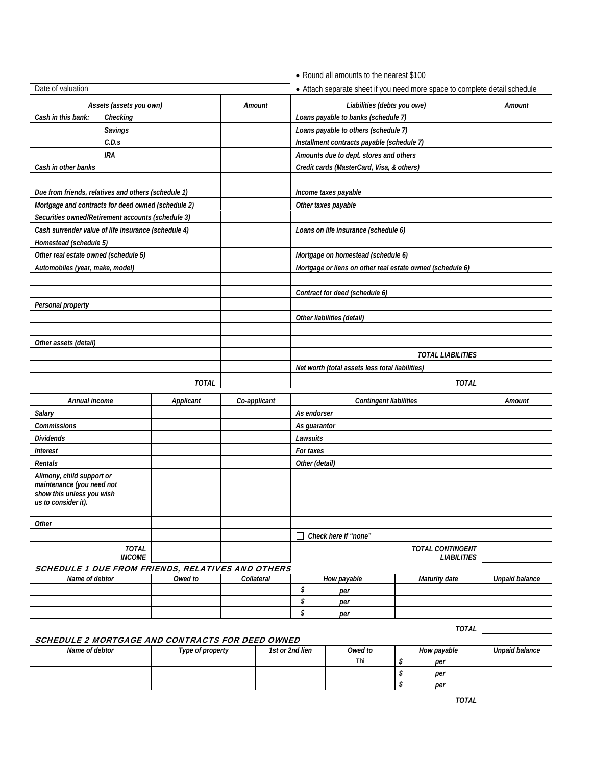|                                                                                                            |              |              | • Round all amounts to the nearest \$100                                   |                          |                       |  |  |
|------------------------------------------------------------------------------------------------------------|--------------|--------------|----------------------------------------------------------------------------|--------------------------|-----------------------|--|--|
| Date of valuation                                                                                          |              |              | • Attach separate sheet if you need more space to complete detail schedule |                          |                       |  |  |
| Assets (assets you own)<br>Amount                                                                          |              |              | Liabilities (debts you owe)                                                | Amount                   |                       |  |  |
| Cash in this bank:<br>Checking                                                                             |              |              | Loans payable to banks (schedule 7)                                        |                          |                       |  |  |
| <b>Savings</b>                                                                                             |              |              | Loans payable to others (schedule 7)                                       |                          |                       |  |  |
| C.D.s                                                                                                      |              |              | Installment contracts payable (schedule 7)                                 |                          |                       |  |  |
| IRA                                                                                                        |              |              | Amounts due to dept. stores and others                                     |                          |                       |  |  |
| Cash in other banks                                                                                        |              |              | Credit cards (MasterCard, Visa, & others)                                  |                          |                       |  |  |
|                                                                                                            |              |              |                                                                            |                          |                       |  |  |
| Due from friends, relatives and others (schedule 1)                                                        |              |              | Income taxes payable                                                       |                          |                       |  |  |
| Mortgage and contracts for deed owned (schedule 2)                                                         |              |              | Other taxes payable                                                        |                          |                       |  |  |
| Securities owned/Retirement accounts (schedule 3)                                                          |              |              |                                                                            |                          |                       |  |  |
| Cash surrender value of life insurance (schedule 4)                                                        |              |              | Loans on life insurance (schedule 6)                                       |                          |                       |  |  |
| Homestead (schedule 5)                                                                                     |              |              |                                                                            |                          |                       |  |  |
| Other real estate owned (schedule 5)                                                                       |              |              | Mortgage on homestead (schedule 6)                                         |                          |                       |  |  |
| Automobiles (year, make, model)                                                                            |              |              | Mortgage or liens on other real estate owned (schedule 6)                  |                          |                       |  |  |
|                                                                                                            |              |              |                                                                            |                          |                       |  |  |
|                                                                                                            |              |              | Contract for deed (schedule 6)                                             |                          |                       |  |  |
| Personal property                                                                                          |              |              |                                                                            |                          |                       |  |  |
|                                                                                                            |              |              | Other liabilities (detail)                                                 |                          |                       |  |  |
|                                                                                                            |              |              |                                                                            |                          |                       |  |  |
| Other assets (detail)                                                                                      |              |              |                                                                            |                          |                       |  |  |
|                                                                                                            |              |              |                                                                            | <b>TOTAL LIABILITIES</b> |                       |  |  |
|                                                                                                            |              |              | Net worth (total assets less total liabilities)                            |                          |                       |  |  |
|                                                                                                            | <b>TOTAL</b> |              |                                                                            | <b>TOTAL</b>             |                       |  |  |
| Annual income                                                                                              | Applicant    | Co-applicant | Contingent liabilities                                                     |                          | Amount                |  |  |
| Salary                                                                                                     |              |              | As endorser                                                                |                          |                       |  |  |
| <b>Commissions</b>                                                                                         |              |              | As guarantor                                                               |                          |                       |  |  |
| <b>Dividends</b>                                                                                           |              |              | Lawsuits                                                                   |                          |                       |  |  |
| Interest                                                                                                   |              |              | For taxes                                                                  |                          |                       |  |  |
| Rentals                                                                                                    |              |              | Other (detail)                                                             |                          |                       |  |  |
| Alimony, child support or<br>maintenance (you need not<br>show this unless you wish<br>us to consider it). |              |              |                                                                            |                          |                       |  |  |
| <b>Other</b>                                                                                               |              |              |                                                                            |                          |                       |  |  |
|                                                                                                            |              |              | Check here if "none"                                                       |                          |                       |  |  |
| <b>TOTAL</b>                                                                                               |              |              |                                                                            | <b>TOTAL CONTINGENT</b>  |                       |  |  |
| <b>INCOME</b>                                                                                              |              |              |                                                                            | <b>LIABILITIES</b>       |                       |  |  |
| <b>SCHEDULE 1 DUE FROM FRIENDS, RELATIVES AND OTHERS</b><br>Name of debtor                                 | Owed to      | Collateral   |                                                                            | Maturity date            | <b>Unpaid balance</b> |  |  |
|                                                                                                            |              |              | How payable<br>\$<br>per                                                   |                          |                       |  |  |
|                                                                                                            |              |              | \$<br>per                                                                  |                          |                       |  |  |
|                                                                                                            |              |              | \$<br>per                                                                  |                          |                       |  |  |
|                                                                                                            |              |              |                                                                            | <b>TOTAL</b>             |                       |  |  |
| <b>SCHEDULE 2 MORTGAGE AND CONTRACTS FOR DEED OWNED</b>                                                    |              |              |                                                                            |                          |                       |  |  |

# *Name of debtor Type of property 1st or 2nd lien Owed to How payable Unpaid balance*

| <i>IVAIIIC UI UCUIUI</i> | <i>i</i> ype or property | <b>131 UI ZHU HUI</b> | <b>UWCU IU</b> | <b>TIOW PayaDIC</b> | Ulipalu balahut |
|--------------------------|--------------------------|-----------------------|----------------|---------------------|-----------------|
|                          |                          |                       | Thi            | per                 |                 |
|                          |                          |                       |                | per                 |                 |
|                          |                          |                       |                | per                 |                 |
|                          |                          |                       |                | TOTAL               |                 |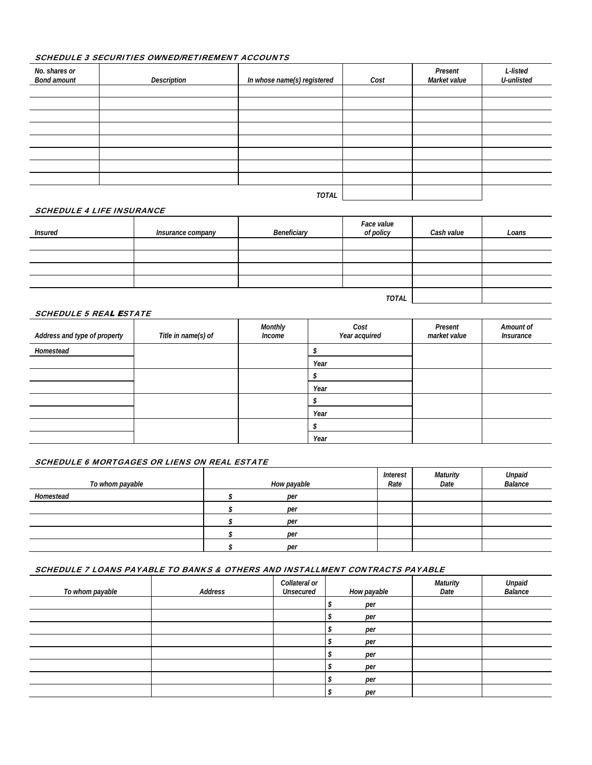## SCHEDULE 3 SECURITIES OWNED/RETIREMENT ACCOUNTS

| No. shares or<br><b>Bond amount</b> | <b>Description</b> | In whose name(s) registered | Cost | Present<br>Market value | L-listed<br>U-unlisted |
|-------------------------------------|--------------------|-----------------------------|------|-------------------------|------------------------|
|                                     |                    |                             |      |                         |                        |
|                                     |                    |                             |      |                         |                        |
|                                     |                    |                             |      |                         |                        |
|                                     |                    |                             |      |                         |                        |
|                                     |                    |                             |      |                         |                        |
|                                     |                    |                             |      |                         |                        |
|                                     |                    |                             |      |                         |                        |
|                                     |                    |                             |      |                         |                        |
| <b>TOTAL</b>                        |                    |                             |      |                         |                        |

#### SCHEDULE 4 LIFE INSURANCE

| Insured | Insurance company | <b>Beneficiary</b> | Face value<br>of policy | Cash value | Loans |
|---------|-------------------|--------------------|-------------------------|------------|-------|
|         |                   |                    |                         |            |       |
|         |                   |                    |                         |            |       |
|         |                   |                    |                         |            |       |
|         |                   |                    |                         |            |       |
|         |                   |                    | <b>TOTAL</b>            |            |       |

### SCHEDULE 5 REAL ESTATE

| Address and type of property | Title in name(s) of | <b>Monthly</b><br>Income | Cost<br>Year acquired | Present<br>market value | Amount of<br><i><b>Insurance</b></i> |
|------------------------------|---------------------|--------------------------|-----------------------|-------------------------|--------------------------------------|
| Homestead                    |                     |                          |                       |                         |                                      |
|                              |                     |                          | Year                  |                         |                                      |
|                              |                     |                          |                       |                         |                                      |
|                              |                     |                          | Year                  |                         |                                      |
|                              |                     |                          |                       |                         |                                      |
|                              |                     |                          | Year                  |                         |                                      |
|                              |                     |                          |                       |                         |                                      |
|                              |                     |                          | Year                  |                         |                                      |

## SCHEDULE 6 MORTGAGES OR LIENS ON REAL ESTATE

| To whom payable | How payable | <b>Interest</b><br>Rate | <b>Maturity</b><br>Date | Unpaid<br><b>Balance</b> |
|-----------------|-------------|-------------------------|-------------------------|--------------------------|
| Homestead       | per         |                         |                         |                          |
|                 | per         |                         |                         |                          |
|                 | per         |                         |                         |                          |
|                 | per         |                         |                         |                          |
|                 | per         |                         |                         |                          |

## SCHEDULE 7 LOANS PAYABLE TO BANKS & OTHERS AND INSTALLMENT CONTRACTS PAYABLE

| To whom payable | Address | Collateral or<br>Unsecured | How payable | <b>Maturity</b><br>Date | Unpaid<br><b>Balance</b> |
|-----------------|---------|----------------------------|-------------|-------------------------|--------------------------|
|                 |         |                            | per         |                         |                          |
|                 |         |                            | per         |                         |                          |
|                 |         |                            | per         |                         |                          |
|                 |         |                            | per         |                         |                          |
|                 |         |                            | per         |                         |                          |
|                 |         |                            | per         |                         |                          |
|                 |         |                            | per         |                         |                          |
|                 |         |                            | per         |                         |                          |